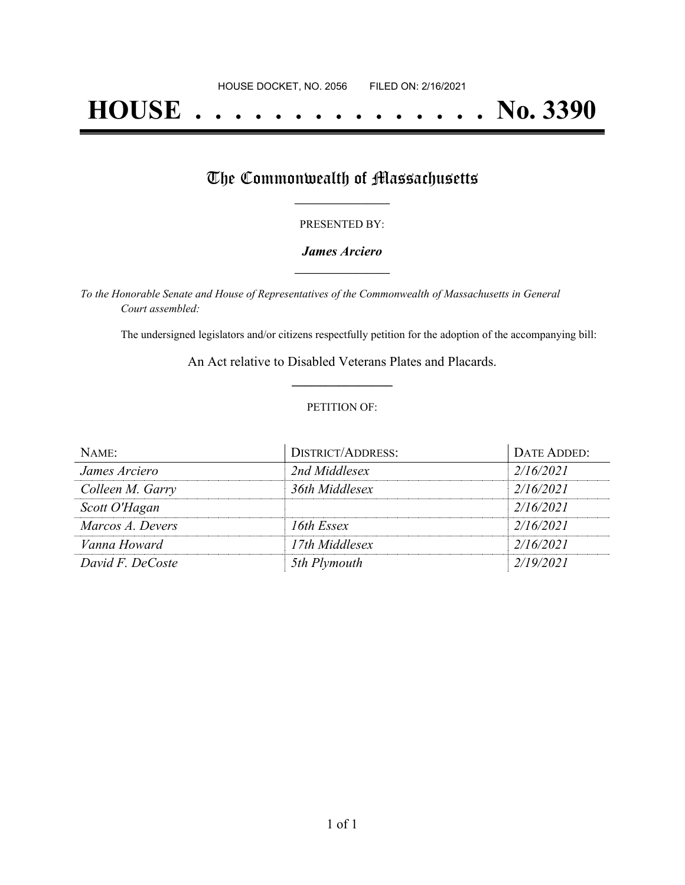# **HOUSE . . . . . . . . . . . . . . . No. 3390**

## The Commonwealth of Massachusetts

#### PRESENTED BY:

#### *James Arciero* **\_\_\_\_\_\_\_\_\_\_\_\_\_\_\_\_\_**

*To the Honorable Senate and House of Representatives of the Commonwealth of Massachusetts in General Court assembled:*

The undersigned legislators and/or citizens respectfully petition for the adoption of the accompanying bill:

An Act relative to Disabled Veterans Plates and Placards. **\_\_\_\_\_\_\_\_\_\_\_\_\_\_\_**

#### PETITION OF:

| $N$ AME:         | <b>DISTRICT/ADDRESS:</b> | DATE ADDED: |
|------------------|--------------------------|-------------|
| James Arciero    | 2nd Middlesex            | 2/16/2021   |
| Colleen M. Garry | 36th Middlesex           | 2/16/2021   |
| Scott O'Hagan    |                          | 2/16/2021   |
| Marcos A. Devers | 16th Essex               | 2/16/2021   |
| Vanna Howard     | 17th Middlesex           | 2/16/2021   |
| David F. DeCoste | 5th Plymouth             | 2/19/2021   |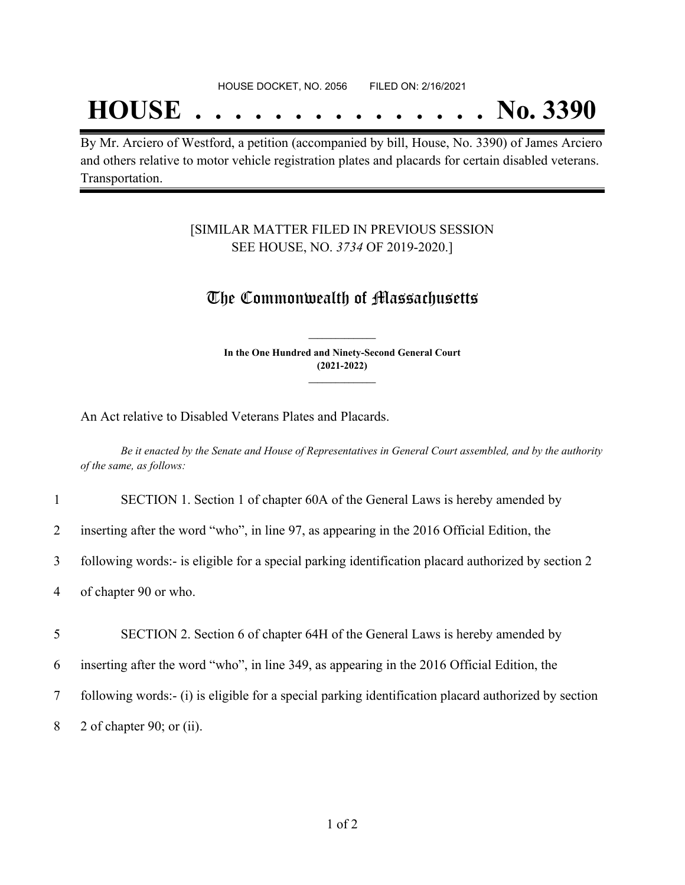## **HOUSE . . . . . . . . . . . . . . . No. 3390**

By Mr. Arciero of Westford, a petition (accompanied by bill, House, No. 3390) of James Arciero and others relative to motor vehicle registration plates and placards for certain disabled veterans. Transportation.

#### [SIMILAR MATTER FILED IN PREVIOUS SESSION SEE HOUSE, NO. *3734* OF 2019-2020.]

### The Commonwealth of Massachusetts

**In the One Hundred and Ninety-Second General Court (2021-2022) \_\_\_\_\_\_\_\_\_\_\_\_\_\_\_**

**\_\_\_\_\_\_\_\_\_\_\_\_\_\_\_**

An Act relative to Disabled Veterans Plates and Placards.

8 2 of chapter 90; or (ii).

Be it enacted by the Senate and House of Representatives in General Court assembled, and by the authority *of the same, as follows:*

| $\mathbf{1}$   | SECTION 1. Section 1 of chapter 60A of the General Laws is hereby amended by                         |  |
|----------------|------------------------------------------------------------------------------------------------------|--|
| $\overline{2}$ | inserting after the word "who", in line 97, as appearing in the 2016 Official Edition, the           |  |
| 3              | following words:- is eligible for a special parking identification placard authorized by section 2   |  |
| 4              | of chapter 90 or who.                                                                                |  |
| 5              | SECTION 2. Section 6 of chapter 64H of the General Laws is hereby amended by                         |  |
|                |                                                                                                      |  |
| 6              | inserting after the word "who", in line 349, as appearing in the 2016 Official Edition, the          |  |
| 7              | following words:- (i) is eligible for a special parking identification placard authorized by section |  |
|                |                                                                                                      |  |